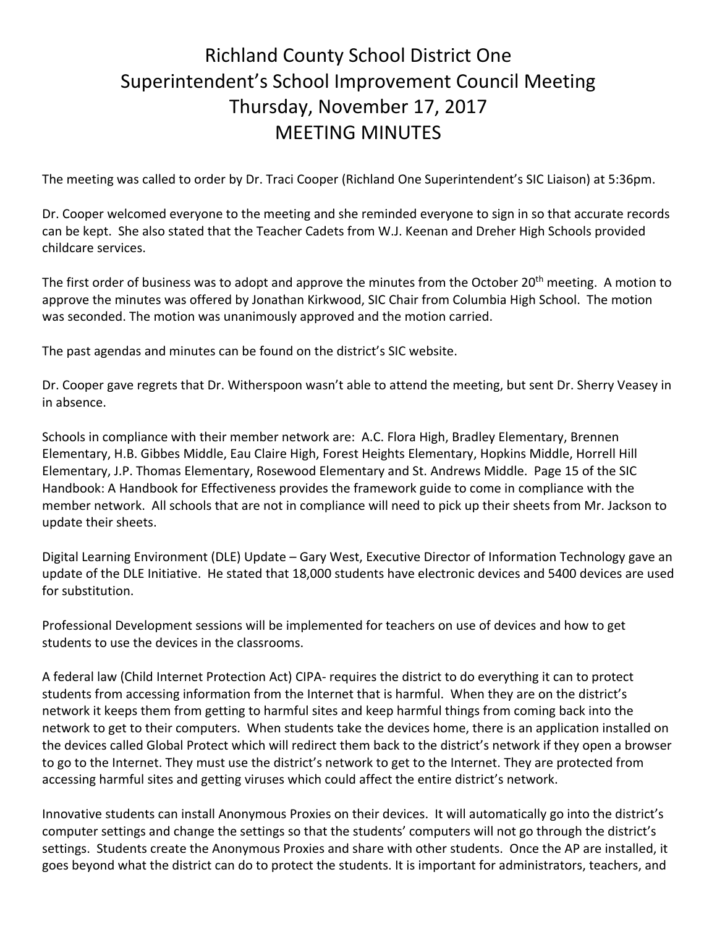## Richland County School District One Superintendent's School Improvement Council Meeting Thursday, November 17, 2017 MEETING MINUTES

The meeting was called to order by Dr. Traci Cooper (Richland One Superintendent's SIC Liaison) at 5:36pm.

Dr. Cooper welcomed everyone to the meeting and she reminded everyone to sign in so that accurate records can be kept. She also stated that the Teacher Cadets from W.J. Keenan and Dreher High Schools provided childcare services.

The first order of business was to adopt and approve the minutes from the October 20<sup>th</sup> meeting. A motion to approve the minutes was offered by Jonathan Kirkwood, SIC Chair from Columbia High School. The motion was seconded. The motion was unanimously approved and the motion carried.

The past agendas and minutes can be found on the district's SIC website.

Dr. Cooper gave regrets that Dr. Witherspoon wasn't able to attend the meeting, but sent Dr. Sherry Veasey in in absence.

Schools in compliance with their member network are: A.C. Flora High, Bradley Elementary, Brennen Elementary, H.B. Gibbes Middle, Eau Claire High, Forest Heights Elementary, Hopkins Middle, Horrell Hill Elementary, J.P. Thomas Elementary, Rosewood Elementary and St. Andrews Middle. Page 15 of the SIC Handbook: A Handbook for Effectiveness provides the framework guide to come in compliance with the member network. All schools that are not in compliance will need to pick up their sheets from Mr. Jackson to update their sheets.

Digital Learning Environment (DLE) Update – Gary West, Executive Director of Information Technology gave an update of the DLE Initiative. He stated that 18,000 students have electronic devices and 5400 devices are used for substitution.

Professional Development sessions will be implemented for teachers on use of devices and how to get students to use the devices in the classrooms.

A federal law (Child Internet Protection Act) CIPA- requires the district to do everything it can to protect students from accessing information from the Internet that is harmful. When they are on the district's network it keeps them from getting to harmful sites and keep harmful things from coming back into the network to get to their computers. When students take the devices home, there is an application installed on the devices called Global Protect which will redirect them back to the district's network if they open a browser to go to the Internet. They must use the district's network to get to the Internet. They are protected from accessing harmful sites and getting viruses which could affect the entire district's network.

Innovative students can install Anonymous Proxies on their devices. It will automatically go into the district's computer settings and change the settings so that the students' computers will not go through the district's settings. Students create the Anonymous Proxies and share with other students. Once the AP are installed, it goes beyond what the district can do to protect the students. It is important for administrators, teachers, and